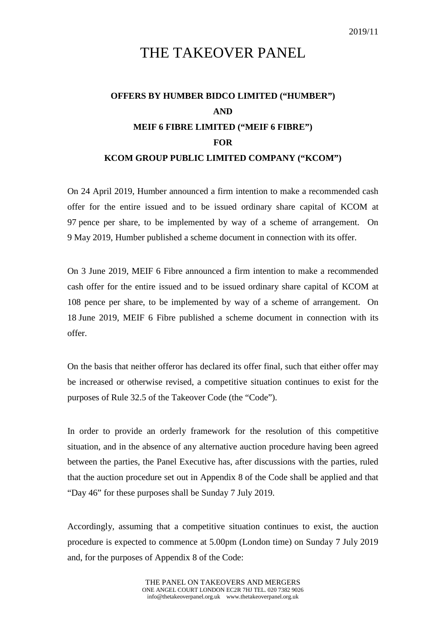## THE TAKEOVER PANEL

## **OFFERS BY HUMBER BIDCO LIMITED ("HUMBER") AND MEIF 6 FIBRE LIMITED ("MEIF 6 FIBRE") FOR KCOM GROUP PUBLIC LIMITED COMPANY ("KCOM")**

On 24 April 2019, Humber announced a firm intention to make a recommended cash offer for the entire issued and to be issued ordinary share capital of KCOM at 97 pence per share, to be implemented by way of a scheme of arrangement. On 9 May 2019, Humber published a scheme document in connection with its offer.

On 3 June 2019, MEIF 6 Fibre announced a firm intention to make a recommended cash offer for the entire issued and to be issued ordinary share capital of KCOM at 108 pence per share, to be implemented by way of a scheme of arrangement. On 18 June 2019, MEIF 6 Fibre published a scheme document in connection with its offer.

On the basis that neither offeror has declared its offer final, such that either offer may be increased or otherwise revised, a competitive situation continues to exist for the purposes of Rule 32.5 of the Takeover Code (the "Code").

In order to provide an orderly framework for the resolution of this competitive situation, and in the absence of any alternative auction procedure having been agreed between the parties, the Panel Executive has, after discussions with the parties, ruled that the auction procedure set out in Appendix 8 of the Code shall be applied and that "Day 46" for these purposes shall be Sunday 7 July 2019.

Accordingly, assuming that a competitive situation continues to exist, the auction procedure is expected to commence at 5.00pm (London time) on Sunday 7 July 2019 and, for the purposes of Appendix 8 of the Code: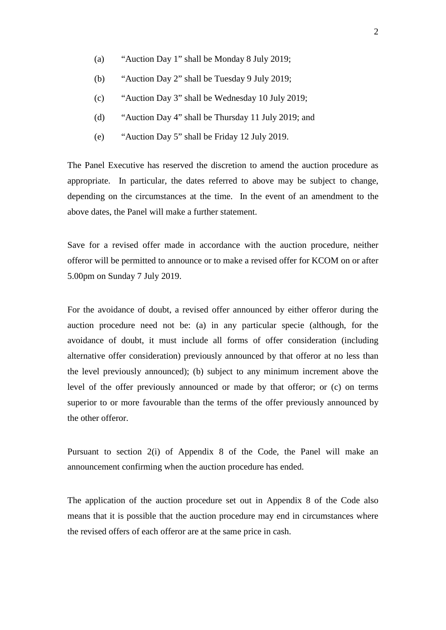- (a) "Auction Day 1" shall be Monday 8 July 2019;
- (b) "Auction Day 2" shall be Tuesday 9 July 2019;
- (c) "Auction Day 3" shall be Wednesday 10 July 2019;
- (d) "Auction Day 4" shall be Thursday 11 July 2019; and
- (e) "Auction Day 5" shall be Friday 12 July 2019.

The Panel Executive has reserved the discretion to amend the auction procedure as appropriate. In particular, the dates referred to above may be subject to change, depending on the circumstances at the time. In the event of an amendment to the above dates, the Panel will make a further statement.

Save for a revised offer made in accordance with the auction procedure, neither offeror will be permitted to announce or to make a revised offer for KCOM on or after 5.00pm on Sunday 7 July 2019.

For the avoidance of doubt, a revised offer announced by either offeror during the auction procedure need not be: (a) in any particular specie (although, for the avoidance of doubt, it must include all forms of offer consideration (including alternative offer consideration) previously announced by that offeror at no less than the level previously announced); (b) subject to any minimum increment above the level of the offer previously announced or made by that offeror; or (c) on terms superior to or more favourable than the terms of the offer previously announced by the other offeror.

Pursuant to section 2(i) of Appendix 8 of the Code, the Panel will make an announcement confirming when the auction procedure has ended.

The application of the auction procedure set out in Appendix 8 of the Code also means that it is possible that the auction procedure may end in circumstances where the revised offers of each offeror are at the same price in cash.